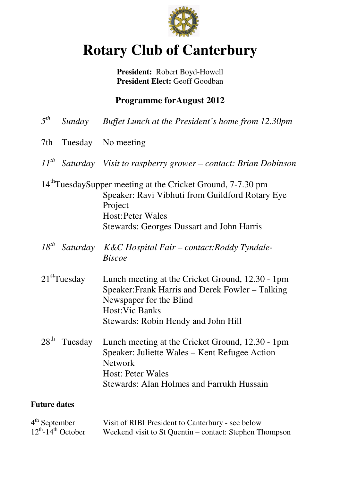

# **Rotary Club of Canterbury**

**President:** Robert Boyd-Howell President Elect: Geoff Goodban

## **Programme forAugust 2012**

| $5^{th}$                                               | Sunday                   | Buffet Lunch at the President's home from 12.30pm                                                                                                                                                                     |
|--------------------------------------------------------|--------------------------|-----------------------------------------------------------------------------------------------------------------------------------------------------------------------------------------------------------------------|
| 7th                                                    | Tuesday                  | No meeting                                                                                                                                                                                                            |
| $11^{th}$                                              |                          | Saturday Visit to raspberry grower - contact: Brian Dobinson                                                                                                                                                          |
|                                                        |                          | 14 <sup>th</sup> TuesdaySupper meeting at the Cricket Ground, 7-7.30 pm<br>Speaker: Ravi Vibhuti from Guildford Rotary Eye<br>Project<br><b>Host: Peter Wales</b><br><b>Stewards: Georges Dussart and John Harris</b> |
| $18^{th}$                                              | Saturday                 | K&C Hospital Fair – contact: Roddy Tyndale-<br><b>Biscoe</b>                                                                                                                                                          |
|                                                        | 21 <sup>st</sup> Tuesday | Lunch meeting at the Cricket Ground, 12.30 - 1pm<br>Speaker: Frank Harris and Derek Fowler – Talking<br>Newspaper for the Blind<br><b>Host: Vic Banks</b><br>Stewards: Robin Hendy and John Hill                      |
| $28^{\text{th}}$                                       | Tuesday                  | Lunch meeting at the Cricket Ground, 12.30 - 1pm<br>Speaker: Juliette Wales – Kent Refugee Action<br><b>Network</b><br><b>Host: Peter Wales</b><br><b>Stewards: Alan Holmes and Farrukh Hussain</b>                   |
| <b>Future dates</b>                                    |                          |                                                                                                                                                                                                                       |
| $4th$ September<br>$12^{th}$ -14 <sup>th</sup> October |                          | Visit of RIBI President to Canterbury - see below<br>Weekend visit to St Quentin – contact: Stephen Thompson                                                                                                          |